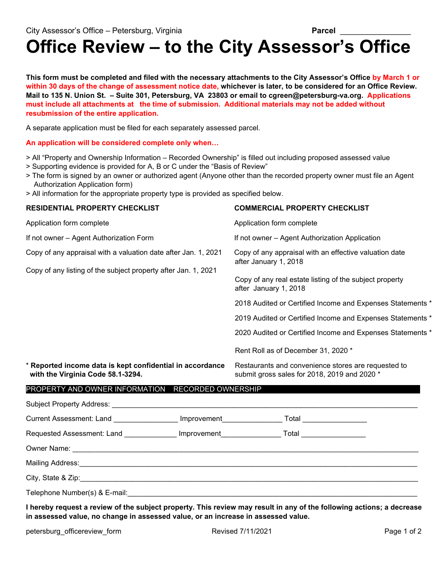## **Office Review – to the City Assessor's Office**

**This form must be completed and filed with the necessary attachments to the City Assessor's Office by March 1 or within 30 days of the change of assessment notice date, whichever is later, to be considered for an Office Review. Mail to 135 N. Union St. – Suite 301, Petersburg, VA 23803 or email to cgreen@petersburg-va.org. Applications must include all attachments at the time of submission. Additional materials may not be added without resubmission of the entire application.**

A separate application must be filed for each separately assessed parcel.

**An application will be considered complete only when…** 

- > All "Property and Ownership Information Recorded Ownership" is filled out including proposed assessed value
- > Supporting evidence is provided for A, B or C under the "Basis of Review"
- > The form is signed by an owner or authorized agent (Anyone other than the recorded property owner must file an Agent Authorization Application form)
- > All information for the appropriate property type is provided as specified below.

| <b>RESIDENTIAL PROPERTY CHECKLIST</b>                                                                                            |  | <b>COMMERCIAL PROPERTY CHECKLIST</b>                                                                                                                                                                                                                                                                                                                                                                 |  |
|----------------------------------------------------------------------------------------------------------------------------------|--|------------------------------------------------------------------------------------------------------------------------------------------------------------------------------------------------------------------------------------------------------------------------------------------------------------------------------------------------------------------------------------------------------|--|
| Application form complete                                                                                                        |  | Application form complete                                                                                                                                                                                                                                                                                                                                                                            |  |
| If not owner - Agent Authorization Form                                                                                          |  | If not owner - Agent Authorization Application                                                                                                                                                                                                                                                                                                                                                       |  |
| Copy of any appraisal with a valuation date after Jan. 1, 2021<br>Copy of any listing of the subject property after Jan. 1, 2021 |  | Copy of any appraisal with an effective valuation date<br>after January 1, 2018<br>Copy of any real estate listing of the subject property<br>after January 1, 2018<br>2018 Audited or Certified Income and Expenses Statements *<br>2019 Audited or Certified Income and Expenses Statements *<br>2020 Audited or Certified Income and Expenses Statements *<br>Rent Roll as of December 31, 2020 * |  |
| * Reported income data is kept confidential in accordance<br>with the Virginia Code 58.1-3294.                                   |  | Restaurants and convenience stores are requested to<br>submit gross sales for 2018, 2019 and 2020 *                                                                                                                                                                                                                                                                                                  |  |
| PROPERTY AND OWNER INFORMATION RECORDED OWNERSHIP                                                                                |  |                                                                                                                                                                                                                                                                                                                                                                                                      |  |
|                                                                                                                                  |  |                                                                                                                                                                                                                                                                                                                                                                                                      |  |
| Current Assessment: Land ________________ Improvement_________________ Total __________________                                  |  |                                                                                                                                                                                                                                                                                                                                                                                                      |  |
| Requested Assessment: Land ______________ Improvement____________________Total ____________________                              |  |                                                                                                                                                                                                                                                                                                                                                                                                      |  |
|                                                                                                                                  |  |                                                                                                                                                                                                                                                                                                                                                                                                      |  |
|                                                                                                                                  |  |                                                                                                                                                                                                                                                                                                                                                                                                      |  |
|                                                                                                                                  |  |                                                                                                                                                                                                                                                                                                                                                                                                      |  |
|                                                                                                                                  |  |                                                                                                                                                                                                                                                                                                                                                                                                      |  |

Telephone Number(s) & E-mail:

**I hereby request a review of the subject property. This review may result in any of the following actions; a decrease in assessed value, no change in assessed value, or an increase in assessed value.**

petersburg\_officereview\_form example and Revised 7/11/2021 Page 1 of 2